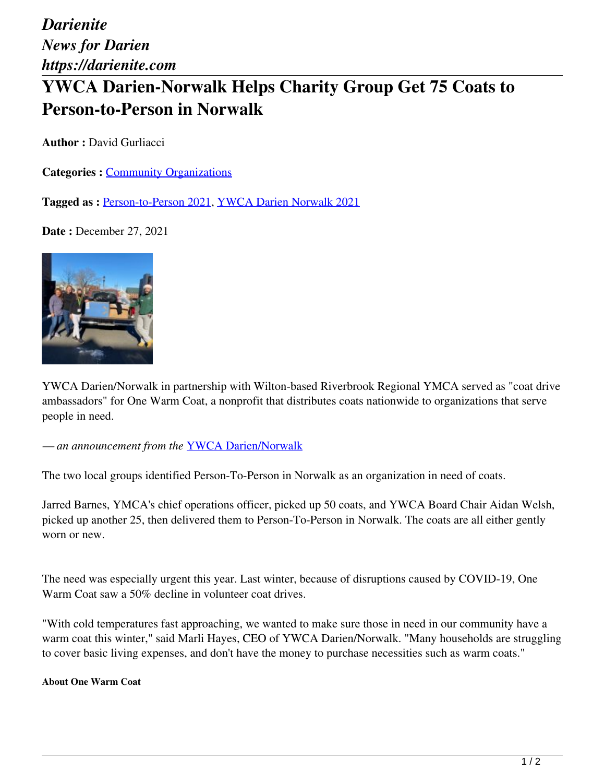*Darienite News for Darien https://darienite.com*

## **YWCA Darien-Norwalk Helps Charity Group Get 75 Coats to Person-to-Person in Norwalk**

**Author :** David Gurliacci

**Categories : [Community Organizations](https://darienite.com/category/news/community-organizations)** 

**Tagged as :** Person-to-Person 2021, YWCA Darien Norwalk 2021

**Date :** December 27, 2021



YWCA Darien/Norwalk in partnership with Wilton-based Riverbrook Regional YMCA served as "coat drive ambassadors" for One Warm Coat, a nonprofit that distributes coats nationwide to organizations that serve people in need.

*— an announcement from the* YWCA Darien/Norwalk

The two local groups identified Person-To-Person in Norwalk as an organization in need of coats.

Jarred Barnes, YMCA's chief operations officer, picked up 50 coats, and YWCA Board Chair Aidan Welsh, picked up another 25, then delivered them to Person-To-Person in Norwalk. The coats are all either gently worn or new.

The need was especially urgent this year. Last winter, because of disruptions caused by COVID-19, One Warm Coat saw a 50% decline in volunteer coat drives.

"With cold temperatures fast approaching, we wanted to make sure those in need in our community have a warm coat this winter," said Marli Hayes, CEO of YWCA Darien/Norwalk. "Many households are struggling to cover basic living expenses, and don't have the money to purchase necessities such as warm coats."

## **About One Warm Coat**